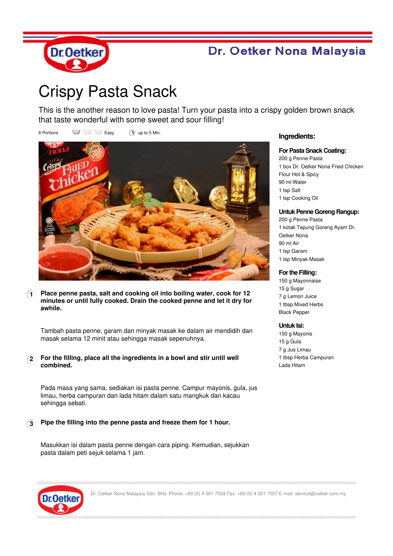

## Dr. Oetker Nona Malaysia

# Crispy Pasta Snack

This is the another reason to love pasta! Turn your pasta into a crispy golden brown snack that taste wonderful with some sweet and sour filling!

6 Portions  $\overrightarrow{uu}$   $\overrightarrow{uv}$  Easy (a) up to 5 Min.



**1 Place penne pasta, salt and cooking oil into boiling water, cook for 12 minutes or until fully cooked. Drain the cooked penne and let it dry for awhile.**

Tambah pasta penne, garam dan minyak masak ke dalam air mendidih dan masak selama 12 minit atau sehingga masak sepenuhnya.

**2 For the filling, place all the ingredients in a bowl and stir until well combined.**

Pada masa yang sama, sediakan isi pasta penne. Campur mayonis, gula, jus limau, herba campuran dan lada hitam dalam satu mangkuk dan kacau sehingga sebati.

### **3 Pipe the filling into the penne pasta and freeze them for 1 hour.**

Masukkan isi dalam pasta penne dengan cara piping. Kemudian, sejukkan pasta dalam peti sejuk selama 1 jam.

#### **Ingredients:**

#### **For Pasta Snack Coating:**

200 g Penne Pasta 1 box Dr. Oetker Nona Fried Chicken Flour Hot & Spicy 90 ml Water 1 tsp Salt 1 tsp Cooking Oil

#### **Untuk Penne Goreng Rangup:**

 g Penne Pasta kotak Tepung Goreng Ayam Dr. Oetker Nona 90 ml Air tsp Garam tsp Minyak Masak

#### **For the Filling:**

150 g Mayonnaise 15 g Sugar 7 g Lemon Juice 1 tbsp Mixed Herbs Black Pepper

#### **Untuk Isi:**

150 g Mayonis 15 g Gula 7 g Jus Limau 1 tbsp Herba Campuran Lada Hitam



Dr. Oetker Nona Malaysia Sdn. Bhd. Phone: +60 (0) 4 501 7504 Fax: +60 (0) 4 501 7507 E-mail: service@oetker.com.my